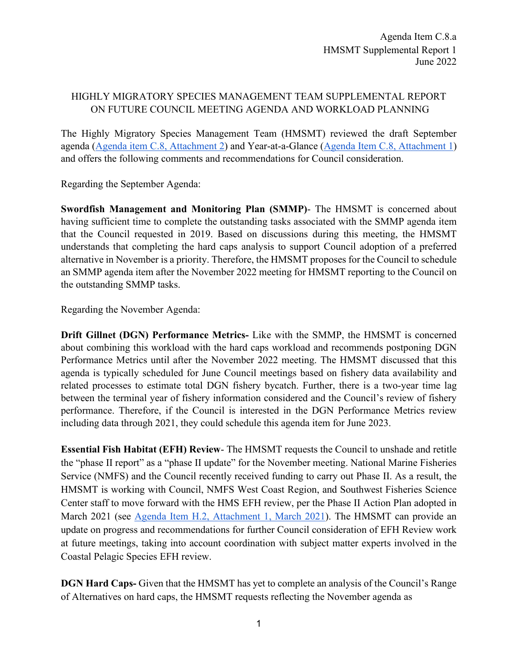## HIGHLY MIGRATORY SPECIES MANAGEMENT TEAM SUPPLEMENTAL REPORT ON FUTURE COUNCIL MEETING AGENDA AND WORKLOAD PLANNING

The Highly Migratory Species Management Team (HMSMT) reviewed the draft September agenda [\(Agenda item C.8,](https://www.pcouncil.org/documents/2022/05/c-8-attachment-2-draft-proposed-council-meeting-agenda-september-2022.pdf/) [Attachment 2\)](https://www.pcouncil.org/documents/2022/05/c-8-attachment-2-draft-proposed-council-meeting-agenda-september-2022.pdf/) and Year-at-a-Glance [\(Agenda Item C.8,](https://www.pcouncil.org/documents/2022/05/c-8-attachment-1-pacific-council-workload-planning-preliminary-year-at-a-glance-summary-2.pdf/) Attachment 1) and offers the following comments and recommendations for Council consideration.

Regarding the September Agenda:

**Swordfish Management and Monitoring Plan (SMMP)**- The HMSMT is concerned about having sufficient time to complete the outstanding tasks associated with the SMMP agenda item that the Council requested in 2019. Based on discussions during this meeting, the HMSMT understands that completing the hard caps analysis to support Council adoption of a preferred alternative in November is a priority. Therefore, the HMSMT proposes for the Council to schedule an SMMP agenda item after the November 2022 meeting for HMSMT reporting to the Council on the outstanding SMMP tasks.

Regarding the November Agenda:

**Drift Gillnet (DGN) Performance Metrics-** Like with the SMMP, the HMSMT is concerned about combining this workload with the hard caps workload and recommends postponing DGN Performance Metrics until after the November 2022 meeting. The HMSMT discussed that this agenda is typically scheduled for June Council meetings based on fishery data availability and related processes to estimate total DGN fishery bycatch. Further, there is a two-year time lag between the terminal year of fishery information considered and the Council's review of fishery performance. Therefore, if the Council is interested in the DGN Performance Metrics review including data through 2021, they could schedule this agenda item for June 2023.

**Essential Fish Habitat (EFH) Review**- The HMSMT requests the Council to unshade and retitle the "phase II report" as a "phase II update" for the November meeting. National Marine Fisheries Service (NMFS) and the Council recently received funding to carry out Phase II. As a result, the HMSMT is working with Council, NMFS West Coast Region, and Southwest Fisheries Science Center staff to move forward with the HMS EFH review, per the Phase II Action Plan adopted in March 2021 (see [Agenda Item H.2, Attachment 1, March 2021\)](https://www.pcouncil.org/documents/2021/02/h-2-attachment-1-phase-2-action-plan-for-highly-migratory-species-essential-fish-habitat-review.pdf/). The HMSMT can provide an update on progress and recommendations for further Council consideration of EFH Review work at future meetings, taking into account coordination with subject matter experts involved in the Coastal Pelagic Species EFH review.

**DGN Hard Caps-** Given that the HMSMT has yet to complete an analysis of the Council's Range of Alternatives on hard caps, the HMSMT requests reflecting the November agenda as